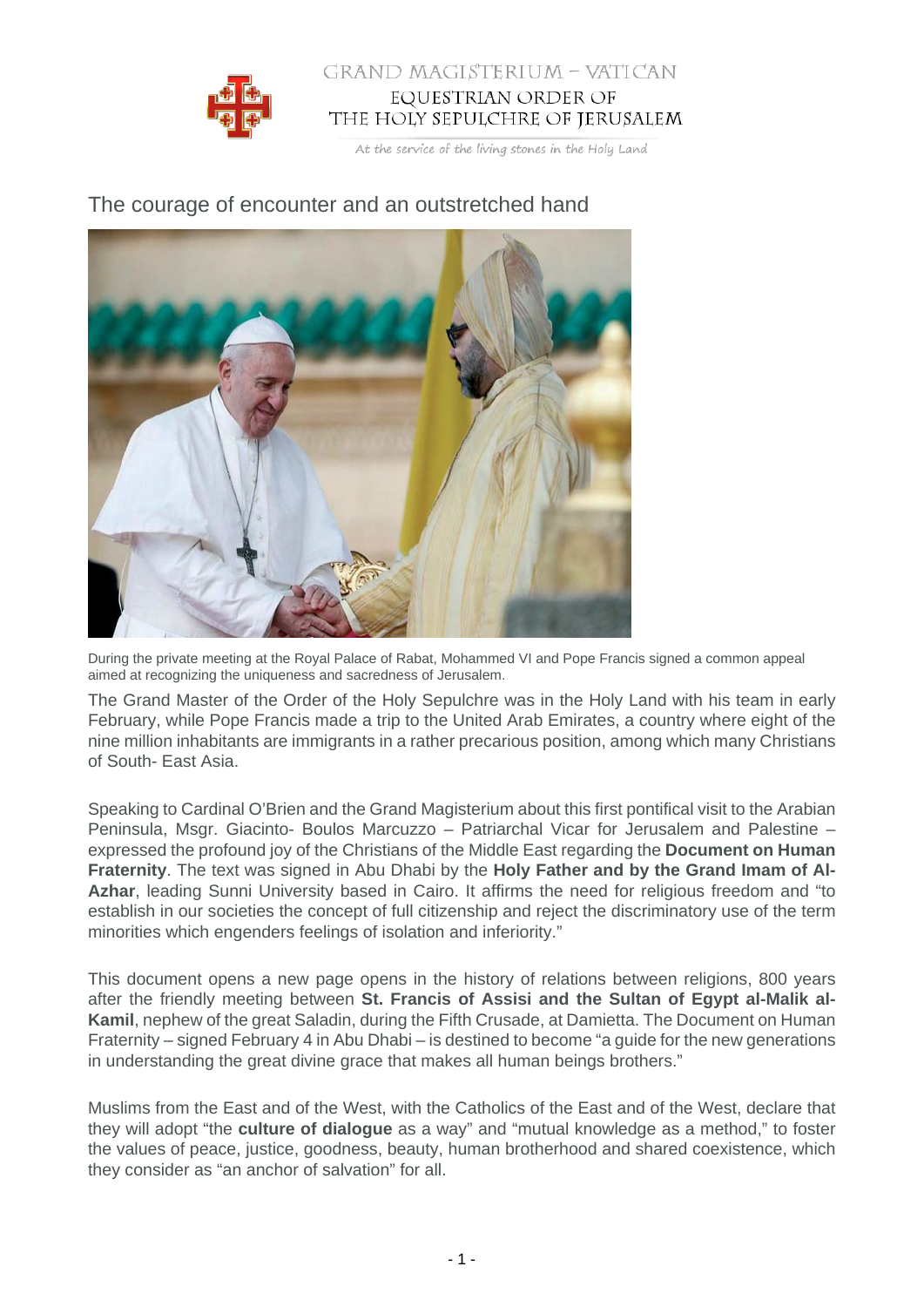

## GRAND MAGISTERIUM - VATICAN EQUESTRIAN ORDER OF THE HOLY SEPULCHRE OF JERUSALEM

At the service of the living stones in the Holy Land

## The courage of encounter and an outstretched hand



During the private meeting at the Royal Palace of Rabat, Mohammed VI and Pope Francis signed a common appeal aimed at recognizing the uniqueness and sacredness of Jerusalem.

The Grand Master of the Order of the Holy Sepulchre was in the Holy Land with his team in early February, while Pope Francis made a trip to the United Arab Emirates, a country where eight of the nine million inhabitants are immigrants in a rather precarious position, among which many Christians of South- East Asia.

Speaking to Cardinal O'Brien and the Grand Magisterium about this first pontifical visit to the Arabian Peninsula, Msgr. Giacinto- Boulos Marcuzzo – Patriarchal Vicar for Jerusalem and Palestine – expressed the profound joy of the Christians of the Middle East regarding the **Document on Human Fraternity**. The text was signed in Abu Dhabi by the **Holy Father and by the Grand Imam of Al-Azhar**, leading Sunni University based in Cairo. It affirms the need for religious freedom and "to establish in our societies the concept of full citizenship and reject the discriminatory use of the term minorities which engenders feelings of isolation and inferiority."

This document opens a new page opens in the history of relations between religions, 800 years after the friendly meeting between **St. Francis of Assisi and the Sultan of Egypt al-Malik al-Kamil**, nephew of the great Saladin, during the Fifth Crusade, at Damietta. The Document on Human Fraternity – signed February 4 in Abu Dhabi – is destined to become "a guide for the new generations in understanding the great divine grace that makes all human beings brothers."

Muslims from the East and of the West, with the Catholics of the East and of the West, declare that they will adopt "the **culture of dialogue** as a way" and "mutual knowledge as a method," to foster the values of peace, justice, goodness, beauty, human brotherhood and shared coexistence, which they consider as "an anchor of salvation" for all.